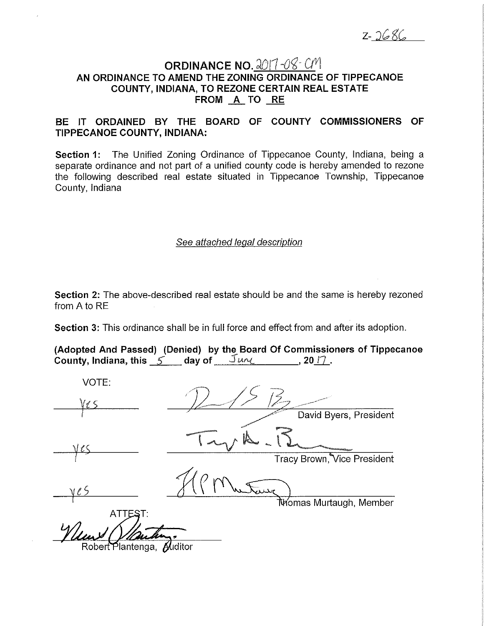$Z - 2686$ 

# **ORDINANCE NO. 2017-08-CM AN ORDINANCE TO AMEND THE ZONING ORDINANCE OF TIPPECANOE COUNTY, INDIANA, TO REZONE CERTAIN REAL ESTATE FROM \_A\_ TO RE**

# **BE IT ORDAINED BY THE BOARD OF COUNTY COMMISSIONERS OF TIPPECANOE COUNTY, INDIANA:**

**Section 1:** The Unified Zoning Ordinance of Tippecanoe County, Indiana, being a separate ordinance and not part of a unified county code is hereby amended to rezone the following described real estate situated in Tippecanoe Township, Tippecanoe County, Indiana

### See attached legal description

**Section** 2: The above-described real estate should be and the same is hereby rezoned from A to RE

**Section** 3: This ordinance shall be in full force and effect from and after its adoption.

**(Adopted And Passed) (Denied) by the Board Of Commissioners of Tippecanoe**  County, Indiana, this  $\frac{1}{2}$  day of  $\frac{3}{4}$   $\frac{3}{4}$ , 2017.

| VOTE:                        |                                  |
|------------------------------|----------------------------------|
| VLS                          |                                  |
|                              | David Byers, President           |
| لمحمج                        |                                  |
|                              | Tracy Brown, Vice President      |
| VCS                          |                                  |
| A.                           | <b>้โห</b> omas Murtaugh, Member |
|                              |                                  |
| Auditor<br>Robert Plantenga, |                                  |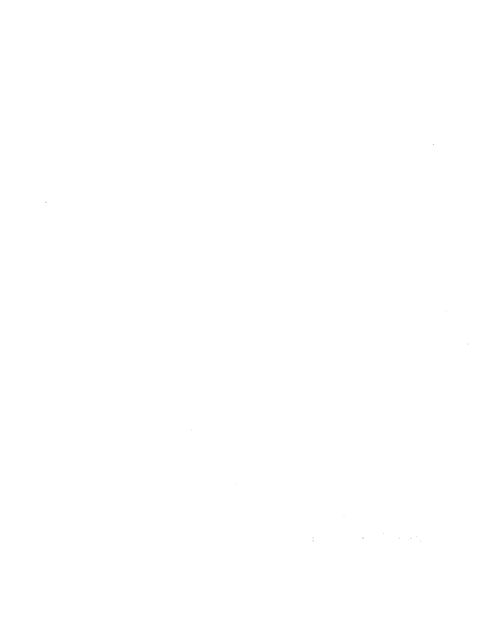$\label{eq:2.1} \frac{1}{\sqrt{2}}\int_{\mathbb{R}^3}\frac{1}{\sqrt{2}}\left(\frac{1}{\sqrt{2}}\right)^2\frac{1}{\sqrt{2}}\left(\frac{1}{\sqrt{2}}\right)^2\frac{1}{\sqrt{2}}\left(\frac{1}{\sqrt{2}}\right)^2\frac{1}{\sqrt{2}}\left(\frac{1}{\sqrt{2}}\right)^2\frac{1}{\sqrt{2}}\left(\frac{1}{\sqrt{2}}\right)^2\frac{1}{\sqrt{2}}\frac{1}{\sqrt{2}}\frac{1}{\sqrt{2}}\frac{1}{\sqrt{2}}\frac{1}{\sqrt{2}}\frac{1}{\sqrt{2}}$ 

 $\label{eq:2.1} \frac{1}{\sqrt{2}}\left(\frac{1}{\sqrt{2}}\right)^{2} \left(\frac{1}{\sqrt{2}}\right)^{2} \left(\frac{1}{\sqrt{2}}\right)^{2} \left(\frac{1}{\sqrt{2}}\right)^{2} \left(\frac{1}{\sqrt{2}}\right)^{2} \left(\frac{1}{\sqrt{2}}\right)^{2} \left(\frac{1}{\sqrt{2}}\right)^{2} \left(\frac{1}{\sqrt{2}}\right)^{2} \left(\frac{1}{\sqrt{2}}\right)^{2} \left(\frac{1}{\sqrt{2}}\right)^{2} \left(\frac{1}{\sqrt{2}}\right)^{2} \left(\$  $\label{eq:2.1} \frac{1}{\sqrt{2}}\int_{0}^{\infty}\frac{1}{\sqrt{2\pi}}\left(\frac{1}{\sqrt{2}}\right)^{2}d\mu\,d\mu\,.$ 

 $\label{eq:2.1} \begin{split} \mathcal{L}_{\text{max}}(\mathcal{L}_{\text{max}}) = \mathcal{L}_{\text{max}}(\mathcal{L}_{\text{max}}) \mathcal{L}_{\text{max}}(\mathcal{L}_{\text{max}}) \mathcal{L}_{\text{max}}(\mathcal{L}_{\text{max}}) \mathcal{L}_{\text{max}}(\mathcal{L}_{\text{max}}) \mathcal{L}_{\text{max}}(\mathcal{L}_{\text{max}}) \mathcal{L}_{\text{max}}(\mathcal{L}_{\text{max}}) \mathcal{L}_{\text{max}}(\mathcal{L}_{\text{max}}) \mathcal{L}_{\text{max}}(\mathcal{L}_{\text{max$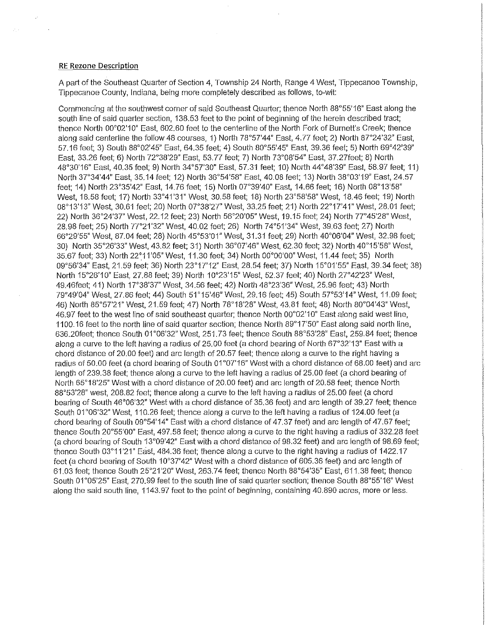#### **RE Rezone Description**

A part of the Southeast Quarter of Section 4, Township 24 North, Range 4 West, Tippecanoe Township, Tippecanoe County, Indiana, being more completely described as follows, to-wit:

Commencing at the southwest corner of said Southeast Quarter; thence North 88°55'16" East along the south line of said quarter section, 138.53 feet to the point of beginning of the herein described tract; thence North 00°02'10" East, 602.60 feet to the centerline of the North Fork of Burnett's Creek; thence along said centerline the follow 48 courses, 1) North 78°57'44" East, 4. 77 feet; 2) North 87°24'32" East, 57.16 feet; 3) South 88°02'45" East, 64.35 feet; 4) South 80°55'45" East, 39.36 feet; 5) North 69°42'39" East, 33.26 feet; 6) North 72°38'29" East, 53.77 feet; 7) North 73°08'54" East, 37.27feet; 8) North 48°30'16" East, 40.35 feet; 9) North 34°57'30" East, 57.31feet;10) North 44°48'39" East, 58.97 feet; 11) North 37°34'44" East, 35.14 feet; 12) North 36°54'58" East, 40.08 feet; 13) North 38°03'19" East, 24.57 feet; 14) North 23°35'42" East, 14.76 feet; 15) North 07°39'40" East, 14.66 feet; 16) North 08°13'58" West, 18.58 feet; 17) North 33°41'31" West, 30.58 feet; 18) North 23°58'58" West, 18.46 feet; 19) North 08°13'13" West, 30.61 feet; 20) North 07°38'27" West, 33.25 feet; 21) North 22°17'41" West, 28.01 feet; 22) North 36°24'37" West, 22.12 feet; 23) North 56°20'05" West, 19.15 feet; 24) North 77°45'28" West, 28.98 feet; 25) North 77°21'32" West, 40.02 feet; 26) North 74°51'34" West, 39.63 feet; 27) North 66°29'55" West, 87.04 feet; 28) North 45°53'01" West, 31.31feet;29) North 40°06'04" West, 32.98 feet; 30) North 35°26'33" West, 43.82 feet; 31) North 36°07'46" West, 62.30 feet; 32) North 40°15'58" West, 35.67 feet; 33) North 22°11 '05" West, 11.30 feet; 34) North 00°00'00" West, 11.44 feet; 35) North 09°56'34" East, 21.59 feet; 36) North 23°17'12" East, 28.54 feet; 37) North 15°01'55" East, 39.34 feet; 38) North 15°26'10" East, 27.88 feet; 39) North 10°23'15" West, 52.37 feet; 40) North 27°42'23" West, 49.46feet; 41) North 17°38'37" West, 34.56 feet; 42) North 48°23'36" West, 25.96 feet; 43) North 79°49'04" West, 27.86 feet; 44) South 51°15'46" West, 29.16 feet; 45) South 57°53'14" West, 11.09 feet; 46) North 85°57'21" West, 21.59 feet; 47) North 78°18'28" West, 43.81 feet; 48) North 80°04'43" West, 46.97 feet to the west line of said southeast quarter; thence North 00°02'10" East along said west line, 1100.16 feet to the north line of said quarter section; thence North 89°17'50" East along said north line, 636.20feet; thence South 01°06'32" West, 251. 73 feet; thence South 88°53'28" East, 259.84 feet; thence along a curve to the left having a radius of 25.00 feet (a chord bearing of North 67°32'13" East with a chord distance of 20.00 feet) and arc length of 20.57 feet; thence along a curve to the right having a radius of 50.00 feet (a chord bearing of South 01°07'16" West with a chord distance of 68.00 feet) and arc length of 239.38 feet; thence along a curve to the left having a radius of 25.00 feet (a chord bearing of North 65°18'25" West with a chord distance of 20.00 feet) and arc length of 20.58 feet; thence North 88"53'28" west, 208.82 feet; thence along a curve to the left having a radius of 25.00 feet (a chord bearing of South 46"06'32" West with a chord distance of 35.36 feet) and arc length of 39.27 feet; thence South 01"06'32" West, 110.26 feet; thence along a curve to the left having a radius of 124.00 feet (a chord bearing of South 09"54'14" East with a chord distance of 47.37 feet) and arc length of 47.67 feet; thence South 20°55'00" East, 497.58 feet; thence along a curve to the right having a radius of 332.28 feet (a chord bearing of South 13°09'42" East with a chord distance of 98.32 feet) and arc length of 98.69 feet; thence South 03°11'21" East, 484.36 feet; thence along a curve to the right having a radius of 1422.17 feet (a chord bearing of South 10°37'42" West with a chord distance of 605.36 feet) and arc length of 61.03 feet; thence South 25"21 '20" West, 263. 74 feet; thence North 88°54'35" East, 611.38 feet; thence South 01°05'25" East, 270.99 feet to the south line of said quarter section; thence South 88°55'16" West along the said south line, 1143.97 feet to the point of beginning, containing 40.890 acres, more or less.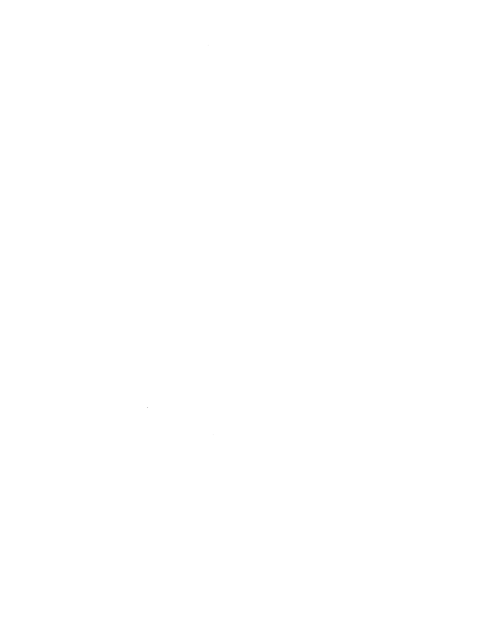$\label{eq:2.1} \frac{1}{\sqrt{2}}\int_{\mathbb{R}^3}\frac{1}{\sqrt{2}}\left(\frac{1}{\sqrt{2}}\right)^2\left(\frac{1}{\sqrt{2}}\right)^2\left(\frac{1}{\sqrt{2}}\right)^2\left(\frac{1}{\sqrt{2}}\right)^2\left(\frac{1}{\sqrt{2}}\right)^2\left(\frac{1}{\sqrt{2}}\right)^2.$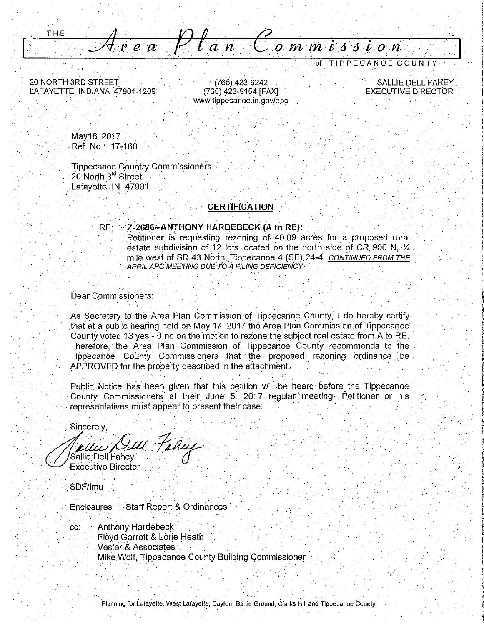THE

# rea Plan Commission :.of TIPPECANOE COUNTY

20 NORTH 3RD STREET . LAFAYETTE, INDIANA 47901-1209

. (765) 423-9242 (765) 423-9.154 [FAX] www.tippecanoe.in.gov/apc

SALLIE DELL FAHEY EXECUTIVE DIRECTOR

May18, 2017 . Ref. No.: 17-160

Tippecanoe Country Commissioners · 20 North 3<sup>rd</sup> Street Lafayette, IN 47901

### **CERTIFICATION**

#### RE: . . **.Z-2686c-ANTHQNY HARDEBECK (A to RE):**

Petitioner is requesting rezoning of 40.89 acres for a proposed rural estate subdivision of 12 lots located on the north side of CR 900 N,  $\frac{1}{4}$ mile west of SR 43 North, Tippecanoe 4 (SE) 24-4. CONTINUED FROM THE APRIL APC MEETING DUE TO A FILING DEFICIENCY

#### Dear Commissioners:

As Secretary to the Area Plan Commission of Tippecanoe County, I do hereby certify .. that at a public hearing held on May 17, 2017 the Area Plan Commission of Tippecanoe County voted 13 yes - 0 no on the motion to rezone the subject real estate from A to RE. Therefore, the Area Plan Commission of Tippecanoe County recommends to the Tippecanoe . County . Commissioners that the proposed rezoning ordinance be APPROVED for the property described in the attachment.

Public Notice has been given that this petition will be heard before the Tippecanoe County Commissioners at their June 5, 2017 regular : meeting:. Petitioner or his representatives must appear to present their case.

. . . . . . . . . <del>.</del> Sincerely,

Julie DILL Fahey

**Executive Director** 

. SDF/lmu

Enclosures: Staff Report & Ordinances

cc: Anthony Hardebeck Floyd Garrott & Lorie Heath Vester & Associates Mike Wolf, Tippecanoe County Building Commissioner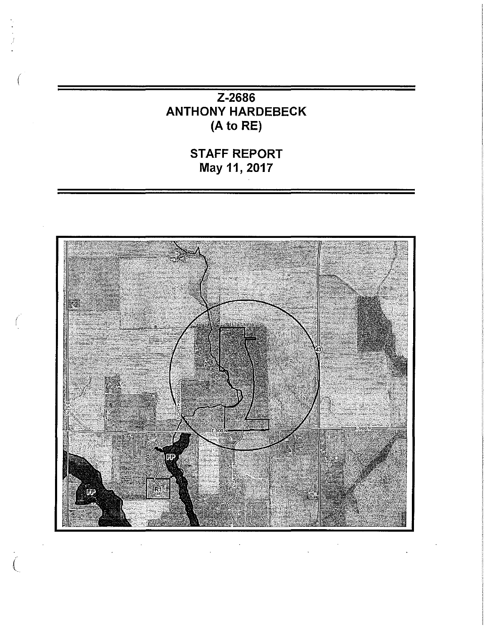Z-2686 ANTHONY HARDEBECK (A to RE)

(

 $\bigl($ 

STAFF REPORT May 11, 2017

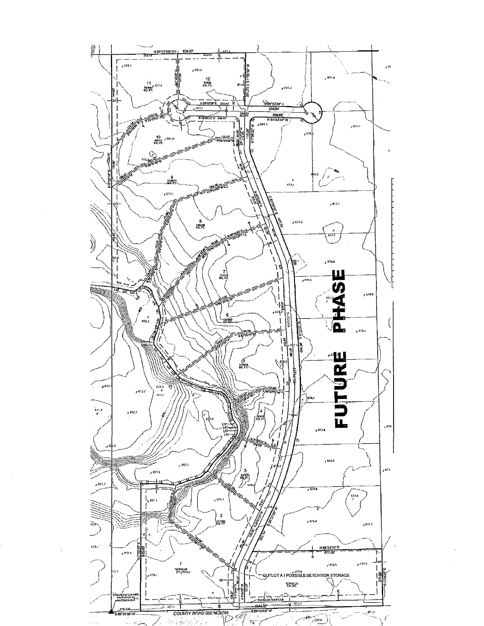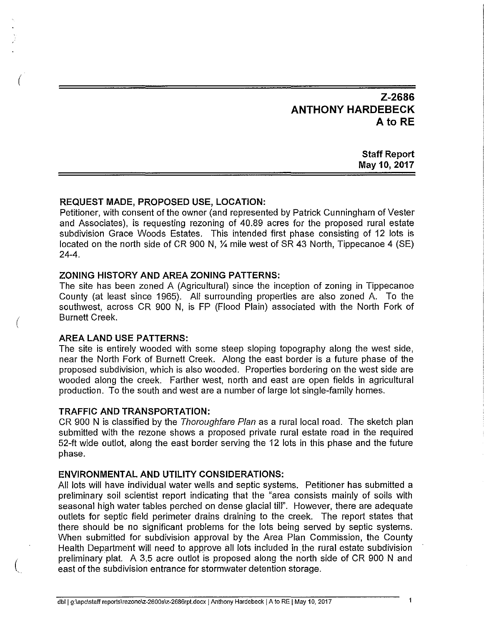# **Z-2686 ANTHONY HARDEBECK A to RE**

**Staff Report May 10, 2017** 

### **REQUEST MADE, PROPOSED USE, LOCATION:**

Petitioner, with consent of the owner (and represented by Patrick Cunningham of Vester and Associates), is requesting rezoning of 40.89 acres for the proposed rural estate subdivision Grace Woods Estates. This intended first phase consisting of 12 lots is located on the north side of CR 900 N, *Y.* mile west of SR 43 North, Tippecanoe 4 (SE) 24-4.

### **ZONING HISTORY AND AREA ZONING PATTERNS:**

The site has been zoned A (Agricultural) since the inception of zoning in Tippecanoe County (at least since 1965). All surrounding properties are also zoned A. To the southwest, across CR 900 N, is FP (Flood Plain) associated with the North Fork of Burnett Creek.

### **AREA LAND USE PATTERNS:**

(

(

(

The site is entirely wooded with some steep sloping topography along the west side, near the North Fork of Burnett Creek. Along the east border is a future phase of the proposed subdivision, which is also wooded. Properties bordering on the west side are wooded along the creek. Farther west, north and east are open fields in agricultural production. To the south and west are a number of large lot single-family homes.

### **TRAFFIC AND TRANSPORTATION:**

CR 900 N is classified by the Thoroughfare Plan as a rural local road. The sketch plan submitted with the rezone shows a proposed private rural estate road in the required 52-ft wide outlot, along the east border serving the 12 lots in this phase and the future phase.

### **ENVIRONMENTAL AND UTILITY CONSIDERATIONS:**

All lots will have individual water wells and septic systems. Petitioner has submitted a preliminary soil scientist report indicating that the "area consists mainly of soils with seasonal high water tables perched on dense glacial till". However, there are adequate outlets for septic field perimeter drains draining to the creek. The report states that there should be no significant problems for the lots being served by septic systems. When submitted for subdivision approval by the Area Plan Commission, the County Health Department will need to approve all lots included in the rural estate subdivision preliminary plat. A 3.5 acre outlot is proposed along the north side of CR 900 N and east of the subdivision entrance for stormwater detention storage.

1